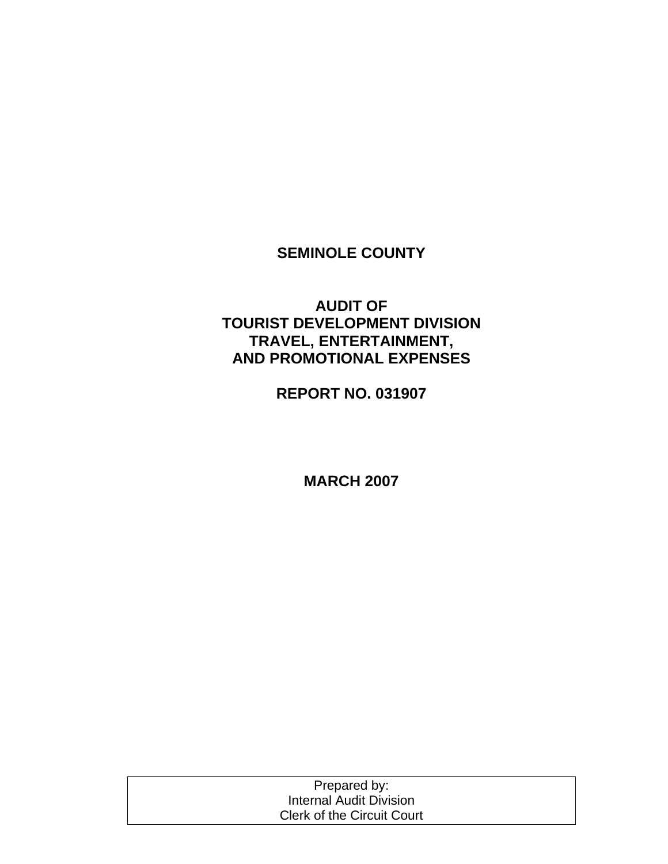# **SEMINOLE COUNTY**

# **AUDIT OF TOURIST DEVELOPMENT DIVISION TRAVEL, ENTERTAINMENT, AND PROMOTIONAL EXPENSES**

**REPORT NO. 031907** 

**MARCH 2007** 

| Prepared by:                      |  |
|-----------------------------------|--|
| <b>Internal Audit Division</b>    |  |
| <b>Clerk of the Circuit Court</b> |  |
|                                   |  |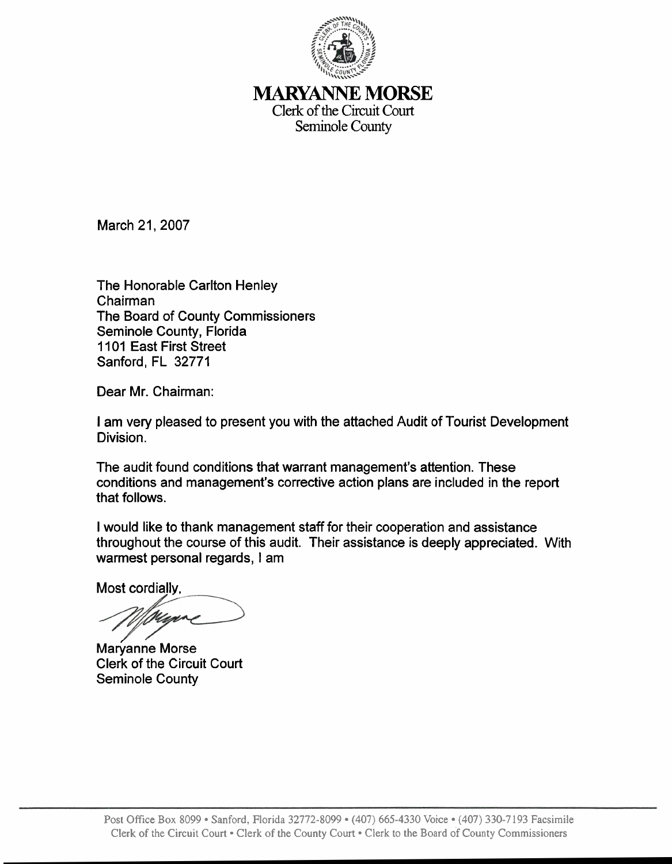

## **lMARYANNE** MORSE Clerk of the Circuit Court Seminole County

March 21, 2007

The Honorable Carlton Henley Chairman The Board of County Commissioners Seminole County, Florida 1101 East First Street Sanford, FL 32771

Dear Mr. Chairman:

I am very pleased to present you with the attached Audit of Tourist Development Division.

The audit found conditions that warrant management's attention. These conditions and management's corrective action plans are included in the report that follows.

I would like to thank management staff for their cooperation and assistance throughout the course of this audit. Their assistance is deeply appreciated. With warmest personal regards, I am

Most cordiallv.

Marvanne Morse Clerk of the Circuit Court Seminole County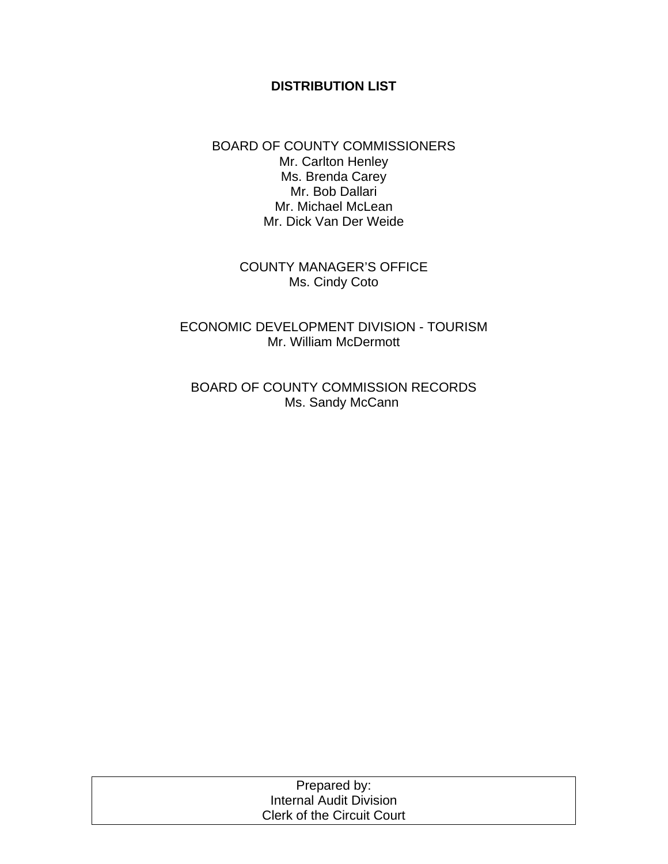#### **DISTRIBUTION LIST**

BOARD OF COUNTY COMMISSIONERS Mr. Carlton Henley Ms. Brenda Carey Mr. Bob Dallari Mr. Michael McLean Mr. Dick Van Der Weide

> COUNTY MANAGER'S OFFICE Ms. Cindy Coto

ECONOMIC DEVELOPMENT DIVISION - TOURISM Mr. William McDermott

BOARD OF COUNTY COMMISSION RECORDS Ms. Sandy McCann

| Prepared by:               |  |
|----------------------------|--|
| Internal Audit Division    |  |
| Clerk of the Circuit Court |  |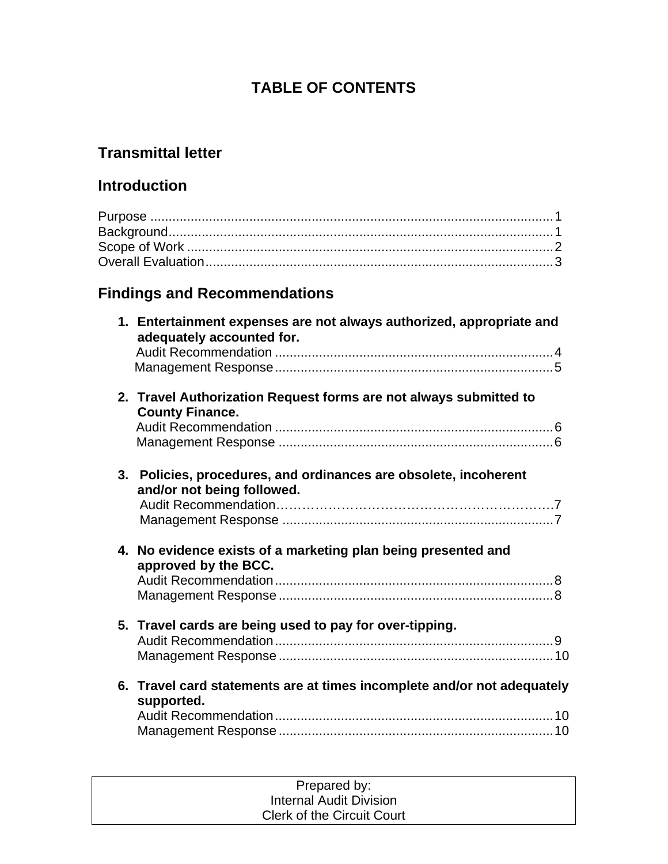# **TABLE OF CONTENTS**

# **Transmittal letter**

# **Introduction**

# **Findings and Recommendations**

|    | 1. Entertainment expenses are not always authorized, appropriate and<br>adequately accounted for. |  |
|----|---------------------------------------------------------------------------------------------------|--|
|    | 2. Travel Authorization Request forms are not always submitted to<br><b>County Finance.</b>       |  |
| 3. | Policies, procedures, and ordinances are obsolete, incoherent<br>and/or not being followed.       |  |
|    | 4. No evidence exists of a marketing plan being presented and<br>approved by the BCC.             |  |
|    | 5. Travel cards are being used to pay for over-tipping.                                           |  |
|    | 6. Travel card statements are at times incomplete and/or not adequately<br>supported.             |  |

| Prepared by:                      |  |
|-----------------------------------|--|
| Internal Audit Division           |  |
| <b>Clerk of the Circuit Court</b> |  |
|                                   |  |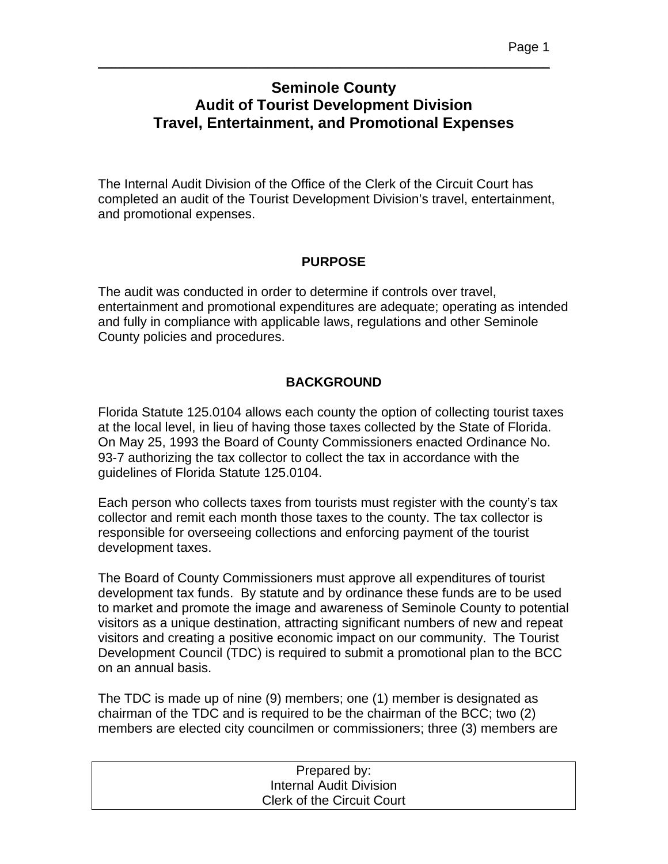# **Seminole County Audit of Tourist Development Division Travel, Entertainment, and Promotional Expenses**

\_\_\_\_\_\_\_\_\_\_\_\_\_\_\_\_\_\_\_\_\_\_\_\_\_\_\_\_\_\_\_\_\_\_\_\_\_\_\_\_\_\_\_\_\_\_\_\_\_\_\_\_\_\_\_\_\_\_\_\_\_\_\_\_\_\_\_\_\_

The Internal Audit Division of the Office of the Clerk of the Circuit Court has completed an audit of the Tourist Development Division's travel, entertainment, and promotional expenses.

#### **PURPOSE**

The audit was conducted in order to determine if controls over travel, entertainment and promotional expenditures are adequate; operating as intended and fully in compliance with applicable laws, regulations and other Seminole County policies and procedures.

# **BACKGROUND**

Florida Statute 125.0104 allows each county the option of collecting tourist taxes at the local level, in lieu of having those taxes collected by the State of Florida. On May 25, 1993 the Board of County Commissioners enacted Ordinance No. 93-7 authorizing the tax collector to collect the tax in accordance with the guidelines of Florida Statute 125.0104.

Each person who collects taxes from tourists must register with the county's tax collector and remit each month those taxes to the county. The tax collector is responsible for overseeing collections and enforcing payment of the tourist development taxes.

The Board of County Commissioners must approve all expenditures of tourist development tax funds. By statute and by ordinance these funds are to be used to market and promote the image and awareness of Seminole County to potential visitors as a unique destination, attracting significant numbers of new and repeat visitors and creating a positive economic impact on our community. The Tourist Development Council (TDC) is required to submit a promotional plan to the BCC on an annual basis.

The TDC is made up of nine (9) members; one (1) member is designated as chairman of the TDC and is required to be the chairman of the BCC; two (2) members are elected city councilmen or commissioners; three (3) members are

| Prepared by:                      |  |
|-----------------------------------|--|
| <b>Internal Audit Division</b>    |  |
| <b>Clerk of the Circuit Court</b> |  |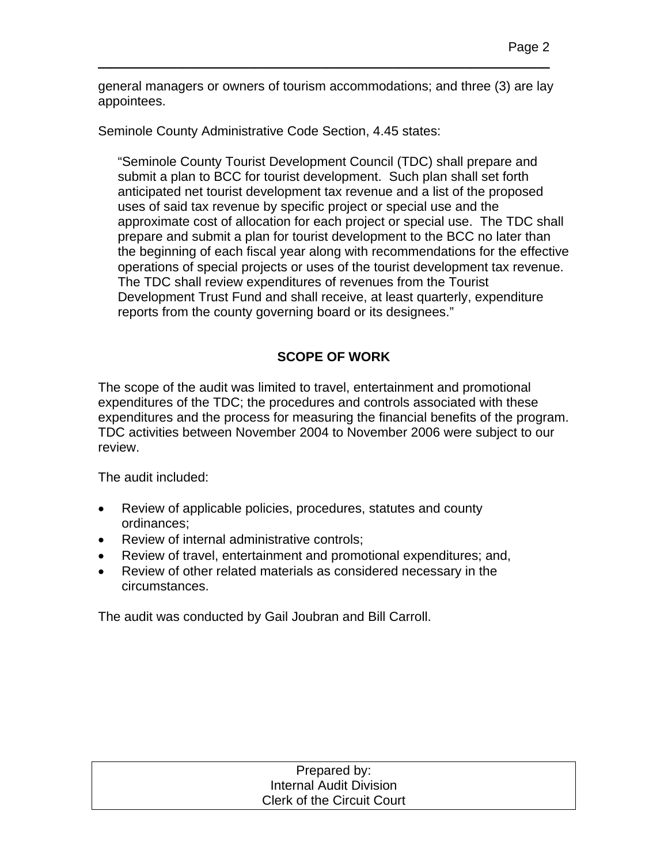general managers or owners of tourism accommodations; and three (3) are lay appointees.

\_\_\_\_\_\_\_\_\_\_\_\_\_\_\_\_\_\_\_\_\_\_\_\_\_\_\_\_\_\_\_\_\_\_\_\_\_\_\_\_\_\_\_\_\_\_\_\_\_\_\_\_\_\_\_\_\_\_\_\_\_\_\_\_\_\_\_\_\_

Seminole County Administrative Code Section, 4.45 states:

"Seminole County Tourist Development Council (TDC) shall prepare and submit a plan to BCC for tourist development. Such plan shall set forth anticipated net tourist development tax revenue and a list of the proposed uses of said tax revenue by specific project or special use and the approximate cost of allocation for each project or special use. The TDC shall prepare and submit a plan for tourist development to the BCC no later than the beginning of each fiscal year along with recommendations for the effective operations of special projects or uses of the tourist development tax revenue. The TDC shall review expenditures of revenues from the Tourist Development Trust Fund and shall receive, at least quarterly, expenditure reports from the county governing board or its designees."

## **SCOPE OF WORK**

The scope of the audit was limited to travel, entertainment and promotional expenditures of the TDC; the procedures and controls associated with these expenditures and the process for measuring the financial benefits of the program. TDC activities between November 2004 to November 2006 were subject to our review.

The audit included:

- Review of applicable policies, procedures, statutes and county ordinances;
- Review of internal administrative controls;
- Review of travel, entertainment and promotional expenditures; and,
- Review of other related materials as considered necessary in the circumstances.

The audit was conducted by Gail Joubran and Bill Carroll.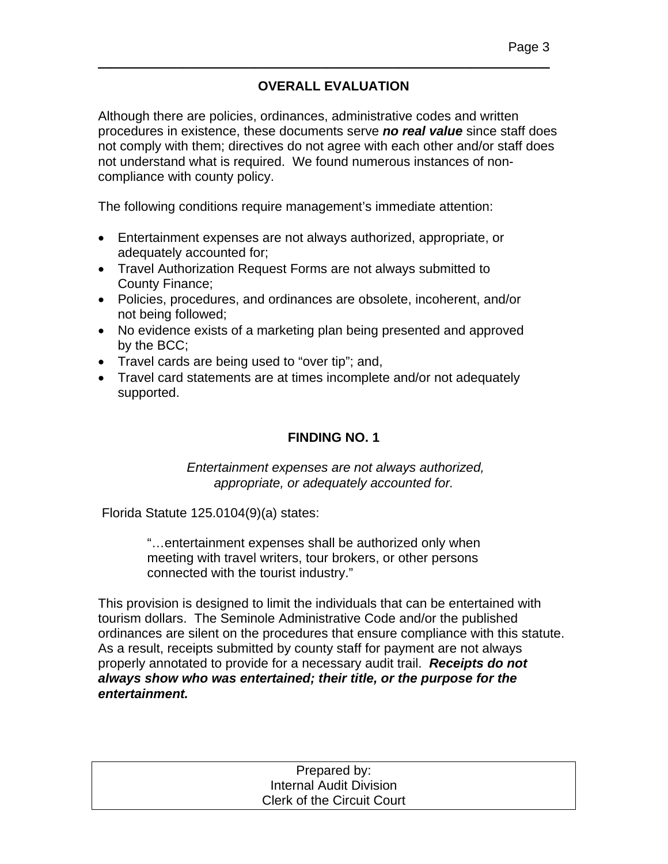## **OVERALL EVALUATION**

\_\_\_\_\_\_\_\_\_\_\_\_\_\_\_\_\_\_\_\_\_\_\_\_\_\_\_\_\_\_\_\_\_\_\_\_\_\_\_\_\_\_\_\_\_\_\_\_\_\_\_\_\_\_\_\_\_\_\_\_\_\_\_\_\_\_\_\_\_

Although there are policies, ordinances, administrative codes and written procedures in existence, these documents serve *no real value* since staff does not comply with them; directives do not agree with each other and/or staff does not understand what is required. We found numerous instances of noncompliance with county policy.

The following conditions require management's immediate attention:

- Entertainment expenses are not always authorized, appropriate, or adequately accounted for;
- Travel Authorization Request Forms are not always submitted to County Finance;
- Policies, procedures, and ordinances are obsolete, incoherent, and/or not being followed;
- No evidence exists of a marketing plan being presented and approved by the BCC;
- Travel cards are being used to "over tip"; and,
- Travel card statements are at times incomplete and/or not adequately supported.

## **FINDING NO. 1**

 *Entertainment expenses are not always authorized, appropriate, or adequately accounted for.* 

Florida Statute 125.0104(9)(a) states:

"…entertainment expenses shall be authorized only when meeting with travel writers, tour brokers, or other persons connected with the tourist industry."

This provision is designed to limit the individuals that can be entertained with tourism dollars. The Seminole Administrative Code and/or the published ordinances are silent on the procedures that ensure compliance with this statute. As a result, receipts submitted by county staff for payment are not always properly annotated to provide for a necessary audit trail. *Receipts do not always show who was entertained; their title, or the purpose for the entertainment.*

| Prepared by:                      |
|-----------------------------------|
| <b>Internal Audit Division</b>    |
| <b>Clerk of the Circuit Court</b> |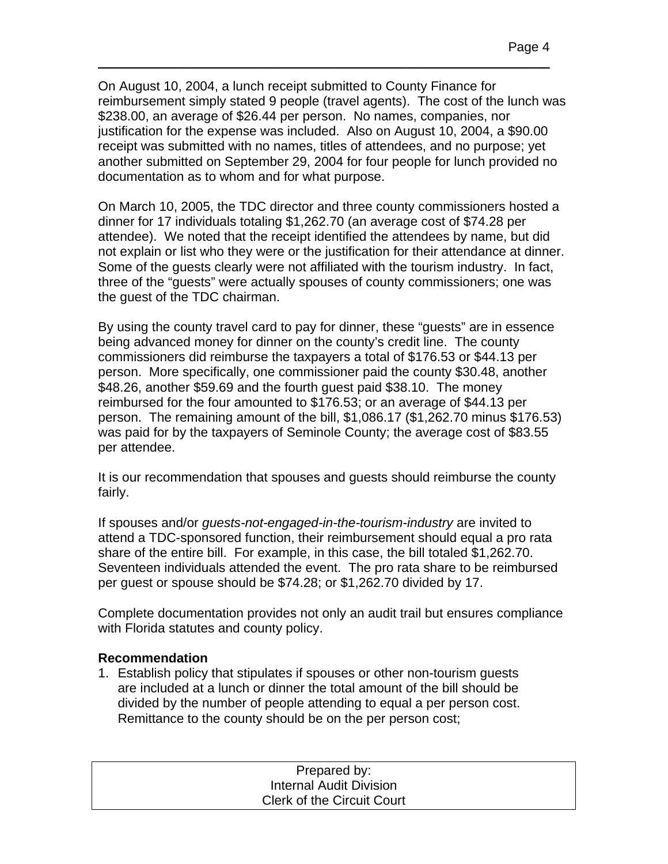On August 10, 2004, a lunch receipt submitted to County Finance for reimbursement simply stated 9 people (travel agents). The cost of the lunch was \$238.00, an average of \$26.44 per person. No names, companies, nor justification for the expense was included. Also on August 10, 2004, a \$90.00 receipt was submitted with no names, titles of attendees, and no purpose; yet another submitted on September 29, 2004 for four people for lunch provided no documentation as to whom and for what purpose.

\_\_\_\_\_\_\_\_\_\_\_\_\_\_\_\_\_\_\_\_\_\_\_\_\_\_\_\_\_\_\_\_\_\_\_\_\_\_\_\_\_\_\_\_\_\_\_\_\_\_\_\_\_\_\_\_\_\_\_\_\_\_\_\_\_\_\_\_\_

On March 10, 2005, the TDC director and three county commissioners hosted a dinner for 17 individuals totaling \$1,262.70 (an average cost of \$74.28 per attendee). We noted that the receipt identified the attendees by name, but did not explain or list who they were or the justification for their attendance at dinner. Some of the guests clearly were not affiliated with the tourism industry. In fact, three of the "guests" were actually spouses of county commissioners; one was the guest of the TDC chairman.

By using the county travel card to pay for dinner, these "guests" are in essence being advanced money for dinner on the county's credit line. The county commissioners did reimburse the taxpayers a total of \$176.53 or \$44.13 per person. More specifically, one commissioner paid the county \$30.48, another \$48.26, another \$59.69 and the fourth guest paid \$38.10. The money reimbursed for the four amounted to \$176.53; or an average of \$44.13 per person. The remaining amount of the bill, \$1,086.17 (\$1,262.70 minus \$176.53) was paid for by the taxpayers of Seminole County; the average cost of \$83.55 per attendee.

It is our recommendation that spouses and guests should reimburse the county fairly.

If spouses and/or *guests-not-engaged-in-the-tourism-industry* are invited to attend a TDC-sponsored function, their reimbursement should equal a pro rata share of the entire bill. For example, in this case, the bill totaled \$1,262.70. Seventeen individuals attended the event. The pro rata share to be reimbursed per guest or spouse should be \$74.28; or \$1,262.70 divided by 17.

Complete documentation provides not only an audit trail but ensures compliance with Florida statutes and county policy.

#### **Recommendation**

1. Establish policy that stipulates if spouses or other non-tourism guests are included at a lunch or dinner the total amount of the bill should be divided by the number of people attending to equal a per person cost. Remittance to the county should be on the per person cost;

| Prepared by:                      |  |
|-----------------------------------|--|
| <b>Internal Audit Division</b>    |  |
| <b>Clerk of the Circuit Court</b> |  |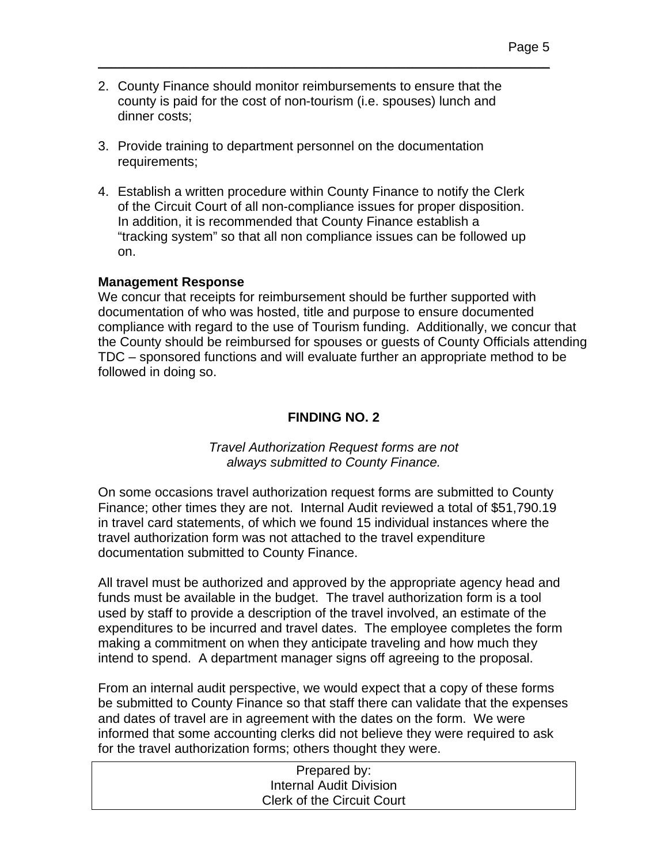2. County Finance should monitor reimbursements to ensure that the county is paid for the cost of non-tourism (i.e. spouses) lunch and dinner costs;

\_\_\_\_\_\_\_\_\_\_\_\_\_\_\_\_\_\_\_\_\_\_\_\_\_\_\_\_\_\_\_\_\_\_\_\_\_\_\_\_\_\_\_\_\_\_\_\_\_\_\_\_\_\_\_\_\_\_\_\_\_\_\_\_\_\_\_\_\_

- 3. Provide training to department personnel on the documentation requirements;
- 4. Establish a written procedure within County Finance to notify the Clerk of the Circuit Court of all non-compliance issues for proper disposition. In addition, it is recommended that County Finance establish a "tracking system" so that all non compliance issues can be followed up on.

#### **Management Response**

We concur that receipts for reimbursement should be further supported with documentation of who was hosted, title and purpose to ensure documented compliance with regard to the use of Tourism funding. Additionally, we concur that the County should be reimbursed for spouses or guests of County Officials attending TDC – sponsored functions and will evaluate further an appropriate method to be followed in doing so.

## **FINDING NO. 2**

*Travel Authorization Request forms are not always submitted to County Finance.* 

On some occasions travel authorization request forms are submitted to County Finance; other times they are not. Internal Audit reviewed a total of \$51,790.19 in travel card statements, of which we found 15 individual instances where the travel authorization form was not attached to the travel expenditure documentation submitted to County Finance.

All travel must be authorized and approved by the appropriate agency head and funds must be available in the budget. The travel authorization form is a tool used by staff to provide a description of the travel involved, an estimate of the expenditures to be incurred and travel dates. The employee completes the form making a commitment on when they anticipate traveling and how much they intend to spend. A department manager signs off agreeing to the proposal.

From an internal audit perspective, we would expect that a copy of these forms be submitted to County Finance so that staff there can validate that the expenses and dates of travel are in agreement with the dates on the form. We were informed that some accounting clerks did not believe they were required to ask for the travel authorization forms; others thought they were.

| Prepared by:                      |  |
|-----------------------------------|--|
| <b>Internal Audit Division</b>    |  |
| <b>Clerk of the Circuit Court</b> |  |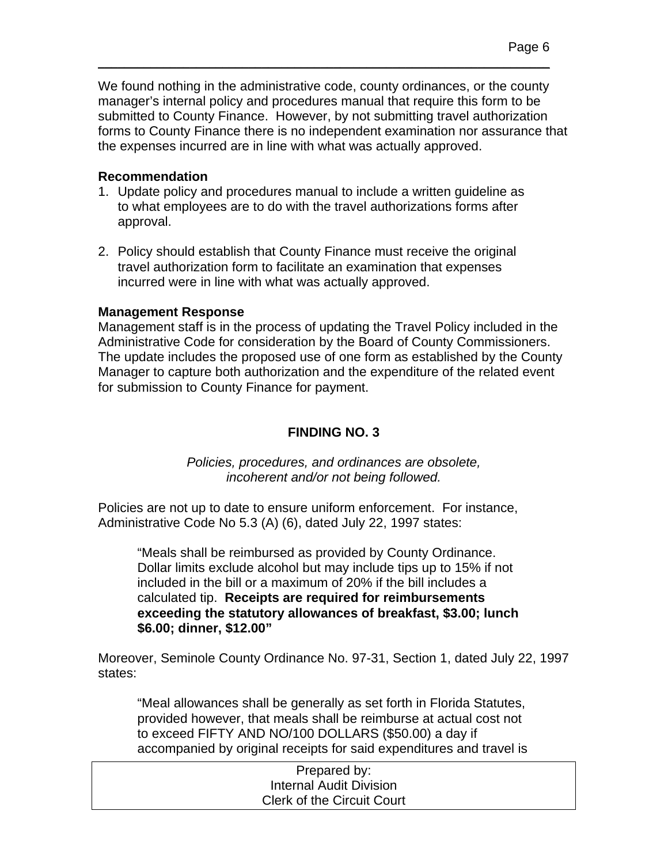We found nothing in the administrative code, county ordinances, or the county manager's internal policy and procedures manual that require this form to be submitted to County Finance. However, by not submitting travel authorization forms to County Finance there is no independent examination nor assurance that the expenses incurred are in line with what was actually approved.

\_\_\_\_\_\_\_\_\_\_\_\_\_\_\_\_\_\_\_\_\_\_\_\_\_\_\_\_\_\_\_\_\_\_\_\_\_\_\_\_\_\_\_\_\_\_\_\_\_\_\_\_\_\_\_\_\_\_\_\_\_\_\_\_\_\_\_\_\_

#### **Recommendation**

- 1. Update policy and procedures manual to include a written guideline as to what employees are to do with the travel authorizations forms after approval.
- 2. Policy should establish that County Finance must receive the original travel authorization form to facilitate an examination that expenses incurred were in line with what was actually approved.

#### **Management Response**

Management staff is in the process of updating the Travel Policy included in the Administrative Code for consideration by the Board of County Commissioners. The update includes the proposed use of one form as established by the County Manager to capture both authorization and the expenditure of the related event for submission to County Finance for payment.

## **FINDING NO. 3**

*Policies, procedures, and ordinances are obsolete, incoherent and/or not being followed.* 

Policies are not up to date to ensure uniform enforcement. For instance, Administrative Code No 5.3 (A) (6), dated July 22, 1997 states:

"Meals shall be reimbursed as provided by County Ordinance. Dollar limits exclude alcohol but may include tips up to 15% if not included in the bill or a maximum of 20% if the bill includes a calculated tip. **Receipts are required for reimbursements exceeding the statutory allowances of breakfast, \$3.00; lunch \$6.00; dinner, \$12.00"** 

Moreover, Seminole County Ordinance No. 97-31, Section 1, dated July 22, 1997 states:

"Meal allowances shall be generally as set forth in Florida Statutes, provided however, that meals shall be reimburse at actual cost not to exceed FIFTY AND NO/100 DOLLARS (\$50.00) a day if accompanied by original receipts for said expenditures and travel is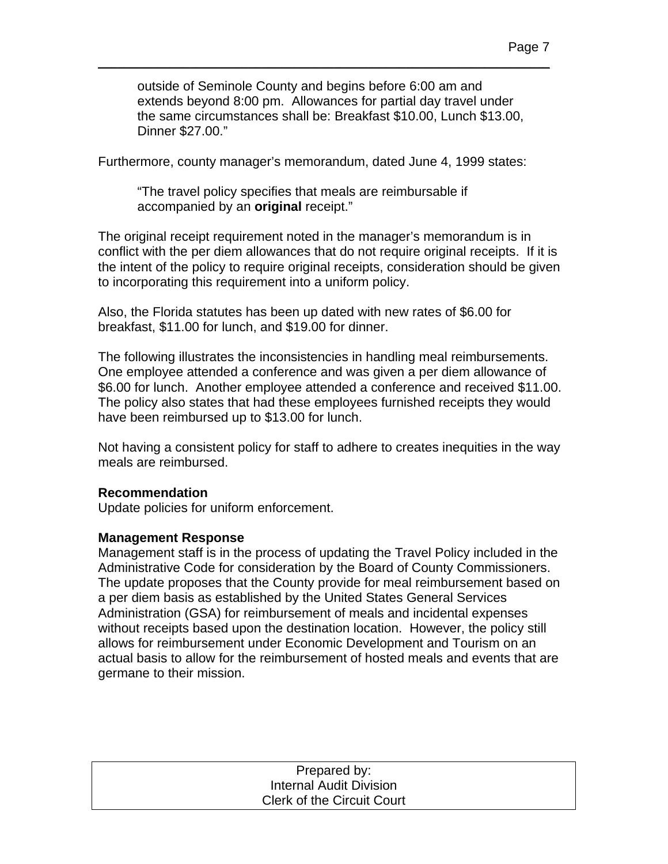outside of Seminole County and begins before 6:00 am and extends beyond 8:00 pm. Allowances for partial day travel under the same circumstances shall be: Breakfast \$10.00, Lunch \$13.00, Dinner \$27.00."

\_\_\_\_\_\_\_\_\_\_\_\_\_\_\_\_\_\_\_\_\_\_\_\_\_\_\_\_\_\_\_\_\_\_\_\_\_\_\_\_\_\_\_\_\_\_\_\_\_\_\_\_\_\_\_\_\_\_\_\_\_\_\_\_\_\_\_\_\_

Furthermore, county manager's memorandum, dated June 4, 1999 states:

"The travel policy specifies that meals are reimbursable if accompanied by an **original** receipt."

The original receipt requirement noted in the manager's memorandum is in conflict with the per diem allowances that do not require original receipts. If it is the intent of the policy to require original receipts, consideration should be given to incorporating this requirement into a uniform policy.

Also, the Florida statutes has been up dated with new rates of \$6.00 for breakfast, \$11.00 for lunch, and \$19.00 for dinner.

The following illustrates the inconsistencies in handling meal reimbursements. One employee attended a conference and was given a per diem allowance of \$6.00 for lunch. Another employee attended a conference and received \$11.00. The policy also states that had these employees furnished receipts they would have been reimbursed up to \$13.00 for lunch.

Not having a consistent policy for staff to adhere to creates inequities in the way meals are reimbursed.

#### **Recommendation**

Update policies for uniform enforcement.

#### **Management Response**

Management staff is in the process of updating the Travel Policy included in the Administrative Code for consideration by the Board of County Commissioners. The update proposes that the County provide for meal reimbursement based on a per diem basis as established by the United States General Services Administration (GSA) for reimbursement of meals and incidental expenses without receipts based upon the destination location. However, the policy still allows for reimbursement under Economic Development and Tourism on an actual basis to allow for the reimbursement of hosted meals and events that are germane to their mission.

| Prepared by:                      |
|-----------------------------------|
| <b>Internal Audit Division</b>    |
| <b>Clerk of the Circuit Court</b> |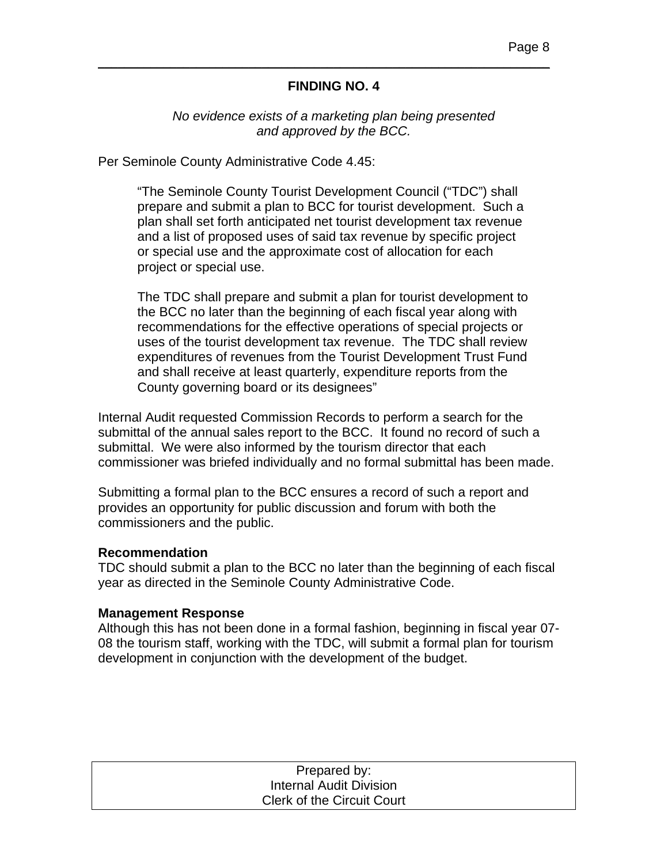#### **FINDING NO. 4**

\_\_\_\_\_\_\_\_\_\_\_\_\_\_\_\_\_\_\_\_\_\_\_\_\_\_\_\_\_\_\_\_\_\_\_\_\_\_\_\_\_\_\_\_\_\_\_\_\_\_\_\_\_\_\_\_\_\_\_\_\_\_\_\_\_\_\_\_\_

#### *No evidence exists of a marketing plan being presented and approved by the BCC.*

Per Seminole County Administrative Code 4.45:

"The Seminole County Tourist Development Council ("TDC") shall prepare and submit a plan to BCC for tourist development. Such a plan shall set forth anticipated net tourist development tax revenue and a list of proposed uses of said tax revenue by specific project or special use and the approximate cost of allocation for each project or special use.

The TDC shall prepare and submit a plan for tourist development to the BCC no later than the beginning of each fiscal year along with recommendations for the effective operations of special projects or uses of the tourist development tax revenue. The TDC shall review expenditures of revenues from the Tourist Development Trust Fund and shall receive at least quarterly, expenditure reports from the County governing board or its designees"

Internal Audit requested Commission Records to perform a search for the submittal of the annual sales report to the BCC. It found no record of such a submittal. We were also informed by the tourism director that each commissioner was briefed individually and no formal submittal has been made.

Submitting a formal plan to the BCC ensures a record of such a report and provides an opportunity for public discussion and forum with both the commissioners and the public.

#### **Recommendation**

TDC should submit a plan to the BCC no later than the beginning of each fiscal year as directed in the Seminole County Administrative Code.

#### **Management Response**

Although this has not been done in a formal fashion, beginning in fiscal year 07- 08 the tourism staff, working with the TDC, will submit a formal plan for tourism development in conjunction with the development of the budget.

| Prepared by:                      |  |
|-----------------------------------|--|
| <b>Internal Audit Division</b>    |  |
| <b>Clerk of the Circuit Court</b> |  |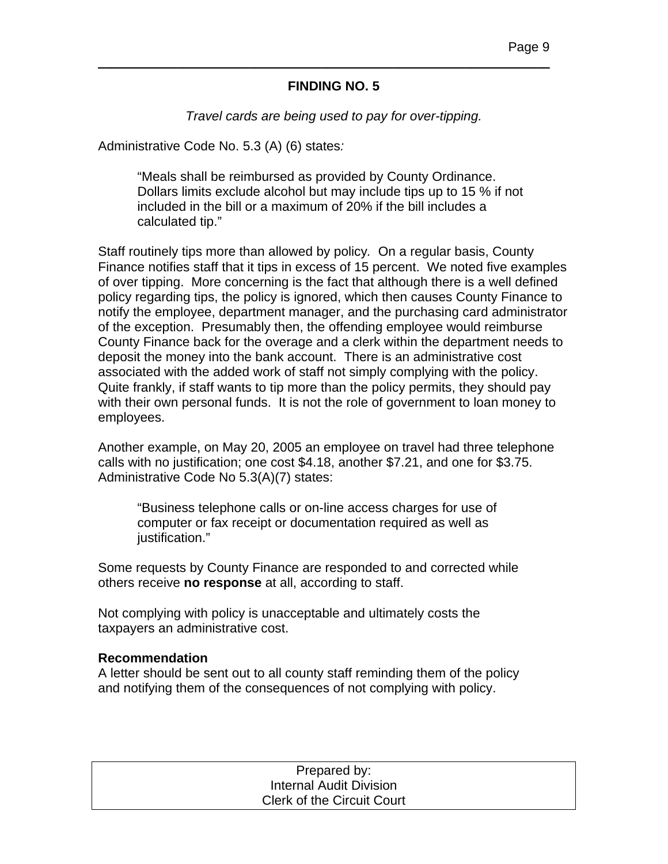#### **FINDING NO. 5**

\_\_\_\_\_\_\_\_\_\_\_\_\_\_\_\_\_\_\_\_\_\_\_\_\_\_\_\_\_\_\_\_\_\_\_\_\_\_\_\_\_\_\_\_\_\_\_\_\_\_\_\_\_\_\_\_\_\_\_\_\_\_\_\_\_\_\_\_\_

*Travel cards are being used to pay for over-tipping.* 

Administrative Code No. 5.3 (A) (6) states*:* 

"Meals shall be reimbursed as provided by County Ordinance. Dollars limits exclude alcohol but may include tips up to 15 % if not included in the bill or a maximum of 20% if the bill includes a calculated tip."

Staff routinely tips more than allowed by policy*.* On a regular basis, County Finance notifies staff that it tips in excess of 15 percent. We noted five examples of over tipping. More concerning is the fact that although there is a well defined policy regarding tips, the policy is ignored, which then causes County Finance to notify the employee, department manager, and the purchasing card administrator of the exception. Presumably then, the offending employee would reimburse County Finance back for the overage and a clerk within the department needs to deposit the money into the bank account. There is an administrative cost associated with the added work of staff not simply complying with the policy. Quite frankly, if staff wants to tip more than the policy permits, they should pay with their own personal funds. It is not the role of government to loan money to employees.

Another example, on May 20, 2005 an employee on travel had three telephone calls with no justification; one cost \$4.18, another \$7.21, and one for \$3.75. Administrative Code No 5.3(A)(7) states:

"Business telephone calls or on-line access charges for use of computer or fax receipt or documentation required as well as justification."

Some requests by County Finance are responded to and corrected while others receive **no response** at all, according to staff.

Not complying with policy is unacceptable and ultimately costs the taxpayers an administrative cost.

#### **Recommendation**

A letter should be sent out to all county staff reminding them of the policy and notifying them of the consequences of not complying with policy.

| Prepared by:                      |
|-----------------------------------|
| <b>Internal Audit Division</b>    |
| <b>Clerk of the Circuit Court</b> |